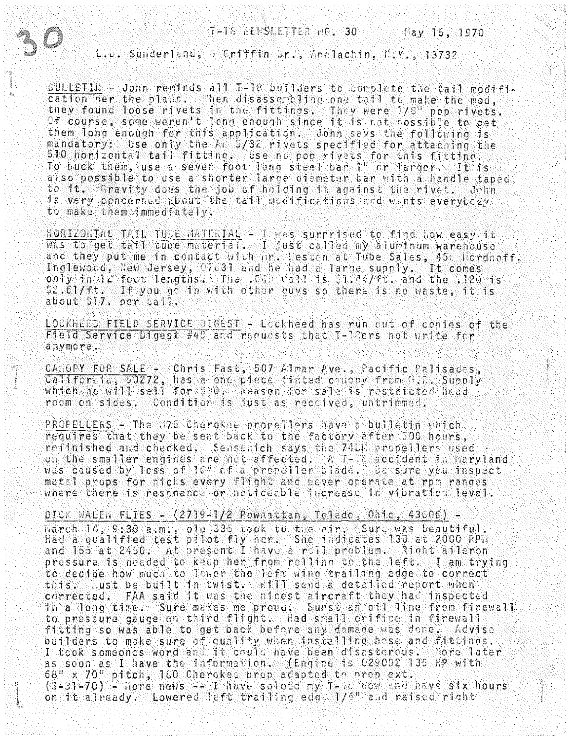L.u. Sunderland, 5 Criffin Dr., Analachin, N.V., 13732

**SULLETIN** - John reminds all T-18 builders to complete the tail modifi-<br>cation per the plans. When disassembling one tail to make the mod, they found loose rivets in the fittings. They were 1/8" pop rivets. Of course, some weren't long enough since it is not possible to get them long enough for this application. John savs the following is<br>mandatory: Use only the AL 5/32 rivets specified for attaching the<br>510 horizontal tail fitting. Use no pop rivels for this fitting. To buck them, use a seven foot long steel bar 1" or larger. It is<br>also possible to use a shorter large diemeter bar with a handle taped to it. Gravity does the job of holding it against the rivet. John is very concerned about the tail modifications and wants everybody to make them immediately.

HORIZONTAL TAIL TUDE MATERIAL - I was surrrised to find how easy it<br>was to get tail tube material. I just called my aluminum warehouse<br>and they put me in contact with ir. lesson at Tube Sales, 45c Hordnoff, Inglewood, New Jersey, 07631 and he had a large supply. It comes  $\overrightarrow{0}$ nly in iz foot lengths. The  $0.49 \times 11$  is  $0.1.44$ /ft. and the .120 is \$2.61/ft. If you go in with other guvs so there is no waste, it is<br>about \$17. per tail.

LOCKHERD FIELD SERVICE DIGEST - Lockheed has run out of cenies of the Field Service Didest #40 and requests that T-10ers not write for anymore.

CANOPY FOR SALE - Chris Fast, 507 Almar Ave., Pacific Palisades, California, 00272, has a one piece tinted changy from W.R. Supply which he will sell for 580. Keason for sale is restricted head room on sides. Condition is just as reccived, untrimmed.

PROPELLERS - The (76 Cherokee propellers have a bulletin which requires that they be sent back to the factory after 500 hours. refinished and checked. Sensenich says the 7411% propellers used .<br>on the smaller engines are not affected. A T- C accident in haryland was caused by less of 10" of a propoller blade, the sure you inspect metal props for nicks every flight and never ocerate at rpm ranges where there is resonance or noticeable increase in vibration level.

DICK WALEN FLIES - (2719-1/2 Pownattan, Toledo, Ohio, 43006) harch 14, 9:30 a.m., ole 336 took to the air. Sure was beautiful.<br>Had a qualified test pilot fly her. She indicates 130 at 2000 RPH and 155 at 2450. At present I have a roll problem. Right aileron pressure is needed to keep her from rolling to the left. I am trying to decide how much to lower the left wing trailing edge to correct this. liust be built in twist. Will send a detailed report when corrected. FAA said it was the nicest aircraft they had inspected<br>in a long time. Sure makes me proud, Surst an oil line from firewall to pressure gauge on third flight. Had small enifice in firewall fitting so was able to get back before any damage was done. Advise builders to make sure of quality when installing hose and fittings.<br>I took someones word and it could have been disasterous. Nore later as soon as I have the information. (Engine is 029002 135 HP with 68" x 70" pitch, 100 Cherokes prop adapted to prop ext.<br>(3-31-70) - Hore news -- I have soloed my T-10 How and nave six hours on it already. Lowered left trailing edg. 1/4" and raised right

any san

 $\hat{\mathbf{x}}_k$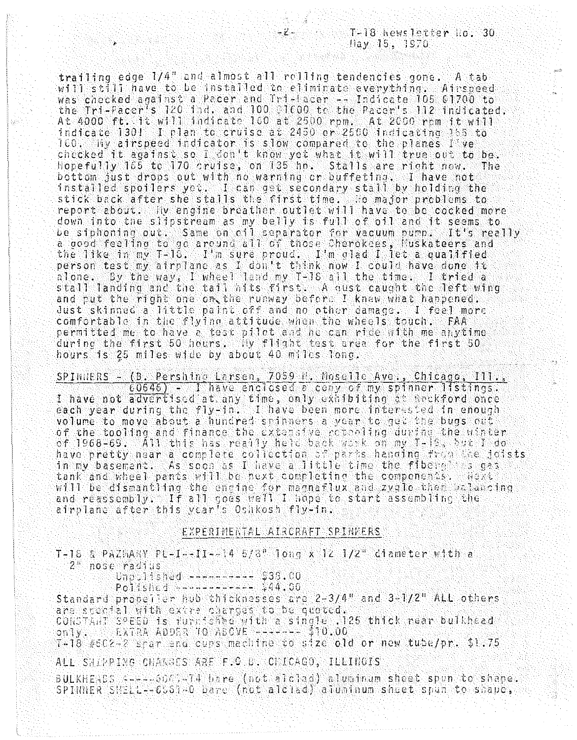trailing edge  $1/4$ " and almost all rolling tendencies gone. A tabwill still have to be installed to eliminate everything. Airspeed<br>was checked against a Pacer and Tri-Tacer -- Indicate 105 01700 to the Tri-Pacer's 120 ind. and 100 01600 to the Pacer's 112 indicated. At 4000 ft. it will indicate 160 at 2500 rpm. At 2000 rpm it will<br>indicate 130! I plan to cruise at 2450 or 2500 indicating 355 to 100. Wy airspeed indicator is slow compared to the planes I ve checked it against so I don't know yet what it will true out to be.<br>Hopefully 165 to 170 cruise, on 135 hp. Stalls are right now. The bottom just drops out with no warning or buffeting. I have not installed spoilers yet. I can get secondary stall by holding the stick back after she stalls the first time. so major problems to report about. The engine breather outlet will have to be cocked more down into the slipstream as my belly is full of oil and it seems to be siphoning out. Same on cil separator for vacuum pump. It's really<br>a good feeling to go around all of those Cherokees, Muskateers and the like in my T-18. I'm sure proud. I'm clad I let a qualified person test my airplane as I don't think now I could have done it alone. By the way', I wheel land my T-18 all the time. I tried a<br>stall landing and the tall hits first. A qust caught the left wing and put the right one on the runway before I knew what happened. Just skinned a little paint off and no other damage. I feel more comfortable in the flying attitude when the wheels touch. FAA permitted me to have a test pilot and he can rice with me anytime during the first 50 hours. Thy flight test area for the first 50 hours is 25 miles wide by about 40 miles long.

SPINNERS - (B. Pershing Larsen, 7059 N. Moselle Ave., Chicago, 111., 60646) - Thave enclosed a cony of my spinner listings. I have not advertised at any time, only exhibiting at tockford once<br>each year during the fly-in. I have been more interested in enough volume to move about a hundred spinners a year to get the bugs out of the tooling and finance the extensive retealing during the winter of 1968-69. All this has really held back work on my T-18, but I do have pretty near a complete collection of parts handing from the joists in my basement. As soon as I have a little time the fibern is gas tank and wheel pants will be next completing the components. Weit will be dismantling the engine for magnatlux and zyglo ther balancing and reassembly. If all goes well I hope to start assembling the airplane after this year's Oshkosh fly-in.

## EXPERIMENTAL AIRCRAFT SPINNERS

T-18 & PAZHARY PL-I--II--14 5/8" long x 12 1/2" diameter with a 2" nose radius.

 $0.75\pm1.6$  and  $-1.7\pm1.7$  .  $0.01$ 

Standard properter hub chicknesses are 2-3/4" and 3-1/2" ALL others are stectal with extra charges to be quoted. CONSTANT SPEED is furnished with a single .125 thick rear bulkhead only. EXTRA ADDER TO ASCVE ------ \$10.00

T-18 #502-2 share and curs machine to size old or new tube/pr. \$1.75

ALL SHIPPING CHARAES ARE F.C D. CHICAGO, ILLINOIS

BULKHERDS ----- on T4 bare (not alclad) aluminum sheet spun to shape. SPINNER SHELL--6561-0 bare (not alclad) aluminum sheet spun to shape,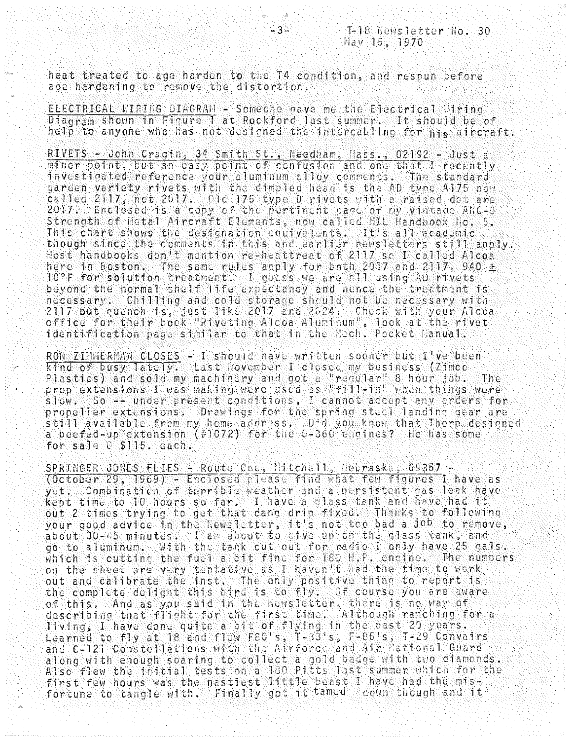heat treated to age harden to the T4 condition, and respun before age hardening to remove the distortion.

 $\bar{\psi}^{\rm A}_{\rm CMB}$ 

ELECTRICAL WIRING DIAGRAM - Someone dave me the Electrical Wiring Diagram shown in Figure 1 at Rockford last summer. It should be of help to anyone who has not designed the intercabling for his aircraft.

RIVETS - John Cragin, 34 Smith St., Needham, Nass., 02192 - Just a minor point, but an easy point of confusion and one that I recently investigated reference your aluminum alloy comments. The standard garden variety rivets with the dimpled head is the AD type A175 now<br>called 2117, not 2017. Old 175 type D rivets with a raised det are 2017. Enclosed is a copy of the pertinent page of my vintage ANC-5 Strength of Metal Aircraft Elements, now called MIL Mandbook No. 5.<br>This chart shows the designation coulvalents. It's all ecademic<br>though since the comments in this and earlier newsletters still apply. Host handbooks don't mention re-heattreat of 2117 so I called Alcoa here in Boston. The same rules apply for both 2017 and 2117, 940 ± 10°F (100 ± beyond the normal shelf life expectancy and nonce the treatment is necessary. Chilling and cold storage should not be necessary with<br>2117 but quench is, just like 2017 and 2024. Check with your Alcoa office for their book "Riveting Alcoa Aluminum", look at the rivet identification page similar to that in the Mech. Pocket lanual.

RON ZIMMERMAN CLOSES - I should have written sooner but I've been kind of busy lately. Last november I closed my business (Zimco Plastics) and sold my machinery and got a "reqular" 8 hour job. The prop extensions I was making were used as "fill-in" when things were slow. So -- under present conditions, I cannot accept any crders for propeller extensions. Drawings for the spring steel landing gear are .<br>still available from my home address. Did you know that Thorp designed.<br>a beefed-up extension (#1072) for the 0-360 engines? He has some for sale 0 \$115. each.

SPRINGER JONES FLIES - Route Che, Mitchell, Nebraske, 69357 -<br>(October 29, 1969) - Enclosed please find what few figures I have as yet. Combination of terrible weather and a nersistent cas leak have kept time to 10 hours so far. I have a class tank and have had it out 2 times trying to get that dang drip fixed. Thanks to following your good advice in the Newsletter, it's not too bad a Job to remove, about 30-45 minutes. I am about to cive up on the glass tank, and go to aluminum. With the tank cut out for radio I only have 25 gals. which is cutting the fuel a bit fine for 180 H.P. engine. The numbers on the sheet are very tentative as I haven't had the time to work out and calibrate the inst. The only positive thing to report is<br>the complete delight this tird is to fly. Of course you are aware of this. And as you said in the newsletter, there is no way of<br>describing that flight for the first time. Although ranching for a<br>living, I have done quite a bit of flying in the past 29 years.<br>Learned to fly at 18 and fle and C-121 Constellations with the Airforce and Air National Guard along with enough soaring to collect a gold badge with two diamonds.<br>Also flew the initial tests on a 180 Pitts last summer which for the first few hours was the nastiest little beast I have had the misfor tune to tangle with. Finally got it tamed cown though and it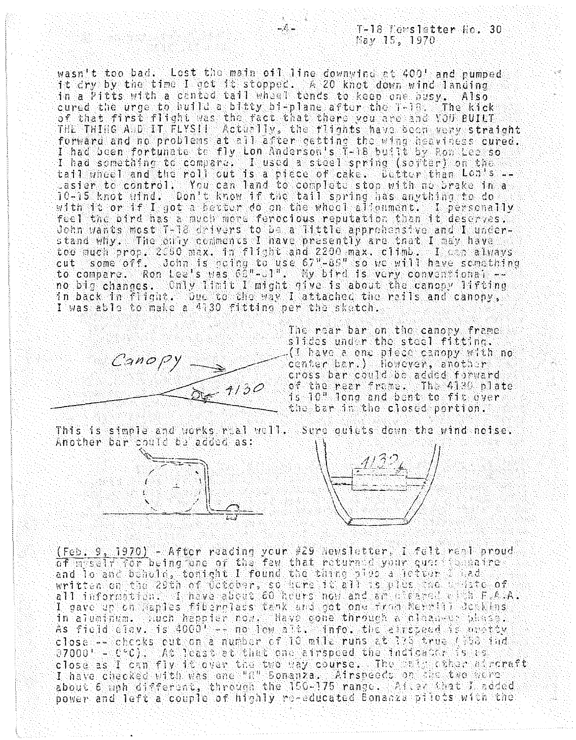wasn't too bad. Lost the main oil line downwind at 400' and pumped it cry by the time I get it stopped. A 20 knot down wind langing in a Pitts with a canted tail wheel tends to keep one busy. Also cured the urge to build a bitty bi-plane after the 1-18. The kick THE THING AND IT FLYSII Actually, the flights have been very straight forward and no problems at all after getting the wing heaviness cured. I had been fortunate to fly Lon Anderson's T-18 built by Rom Lee so I had something to compare. I used a steel spring (sorter) on the tail wheel and the roll out is a piece of cake. Better than Lon's -asier to control. You can land to complete stop with no brake in a 10-15 knot wind. Don't know if the tail spring has anything to do with it or if I got a herter do on the wheel allonment. I personally feel the bird has a much mere ferocious reputation than it deserves. John wants most T-12 deivers to be a little apprehensive and I understand why. The only comments I have presently are that I may have too much prop. 2050 max. in flight and 2200 max. climb. I can always<br>cut some off. John is ocing to use 67"-85" so we will have something<br>to compare. Ron Lee's was 60"-01". My bird is very conventional -no big changes. Only limit I might give is about the canopy lifting in back in flight. Due to the way I attached the reils and canony, I was able to make a 4130 fitting per the sketch.

 $\mathcal{L}$ 



The rear bar on the canopy frame slides under the steel fitting.  $\mathcal{L}(\mathbb{T})$  have a one piece canopy with no center bar.) However, another cross bar could be added forward of the rear frame. The 4130 plate is 10" long and bent to fit over the bar in the closed pertion.

This is simple and works real well. Sure quiets down the wind noise. Another bar could be added as:





(Feb. 9, 1970) - After reading your #29 Newsletter, I folt real proud of messly for being one of the few that returned your questions ine and lo and behold, tonight I found the thing pius a jetter and<br>written on the 29th of October, so here it all is plus the uniste of<br>all information. I have about 60 heurs now and an eleaced with F.A.A. I gave up on laples fiberglass tank and got one from Nervill Benkins in aluminum, huch happier now. Have gone through a clean-up phase.<br>As field alov, is 4000' -- no lew alt, info, the airspeed is neetty close -- checks out on a number of 10 mile runs at 775 true (156 ind 07000' - CC). At least at that one airspeed the indicater is as close as I can fly it over the two way course. The same characteristic I have checked with was one "il" Sonanza. Airspeeds on the two were power and left a couple of highly re-educated Bonanza pilots with the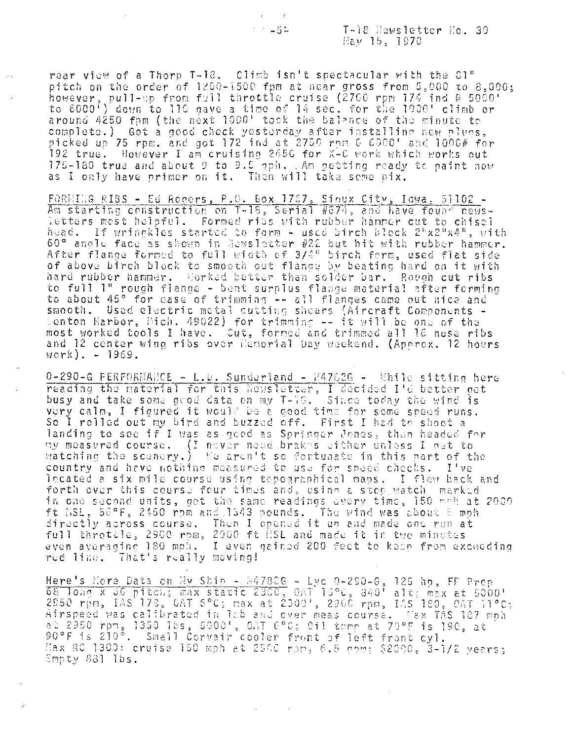T-18 Hewsletter Ho. 30 Hay 15, 1970

rear view of a Thorp T-18. Climb isn't spectacular with the 81"<br>pitch on the order of 1200-1500 fpm at near gross from 5,000 to 8,000; however, pull-up from full throttle cruise (2700 rpm 174 ind @ 5000'<br>to 6000') down to 110 gave a time of 14 sec. for the 1000' climb or<br>around 4250 fpm (the next 1000' took the balance of the minute to complete.) Got a good check yesterday after installing new plugs. picked up 75 rpm. and got 172 ind at 2750 rpm C 6000' and 1006# for 192 true. However I am cruising 2456 for X-C work which works out 175-180 true and about 9 to 9.5 gph. . Am getting ready to paint now as I only have primer on it. Then will take seme pix.

FORMING RIBS - Ed Regers, P.O. Box 1767, Sinux City, Iowa, 51102 -Am starting construction on T-18, Serial #674, and have found newsletters mest helpful. Formed ribs with rubber hammer cut to chisel huad. If wringkles started to form - used birch block  $2^{n}x2^{n}x4^{n}$ , with 60° angle face as shown in lawsletter #22 but hit with rubber hammer.<br>After flange formed to full width of 3/4" birch form, used flat side of above birch block to smooth out flange by beating hard on it with<br>hard rubber hammer. Horked better than solder bar. Rough cut ribs to full I" rough flange - bent surplus flange material after forming to about 45° for ease of trimming -- all flanges came out nice and smooth. Used electric metal cutting shears (Aircraft Components -<br>Lenton Harbor, Mich. 49022) for trimming -- it will be one of the most worked tools I have. Cut, formed and trimmed all 16 nose ribs and 12 center wing ribs over Hemorial Day weekend. (Approx. 12 hours  $work) = -1969.$ 

 $0-290-6$  PERFORMANCE - L.D. Sunderland - M47826 - While sitting here reading the naterial for this Newsletter, I decided I'd better get busy and take some good data on my T-78. Since today the wind is very calm, I figured it would be a good time for some speed runs. So I rolled out my bird and buzzed off. First I had to shoot a landing to see if I was as good as Springer Jones, then headed for my measured course. (I nover need brakes wither unless I get to watching the scenery.) Ee aren't so fortunate in this part of the country and have nothing measured to use for speed checks. I've located a six mile course using tepographical maps. I flew back and forth over this course four times and, using a step watch marked in one second units, got the same readings every time, 150 mmh at 2000 ft MSL, 56°F, 2450 rpm and 1343 pounds. The wind was about 8 mph directly across course. Then I opened it un and made one run at full throtole, 2900 rom, 2000 ft iSL and made it in two minutes even averaging 180 mph. I even gained 200 fect to keep from exceeding red line. That's really moving!

Here's Hore Data on Hy Shin - 847826 - Lyc 0-290-6, 125 hp, FF Prep<br>68 long x 36 pitch; max static 2300, 0AT 15°C, 840' alt; max at 5000'<br>2950 rpm, IAS 173, GAT 5°C; max at 2009', 2960 rpm, IAS 180, 0AT 11°C; Airspeed was calibrated in 12b and over meas course. Max TAS 187 mph.<br>at 2950 rpm, 1350 lbs, 5000', OAT 6°C; 0il tomp at 79°F is 190, at<br>90°F is 210°. Small Corvair cooler front of left front cyl. Max RC 1300: cruise 150 mph at 2500 rpm, 6.5 nom; \$2000, 3-1/2 vears; Empty 881 lbs.

 $1.34 - 5.5$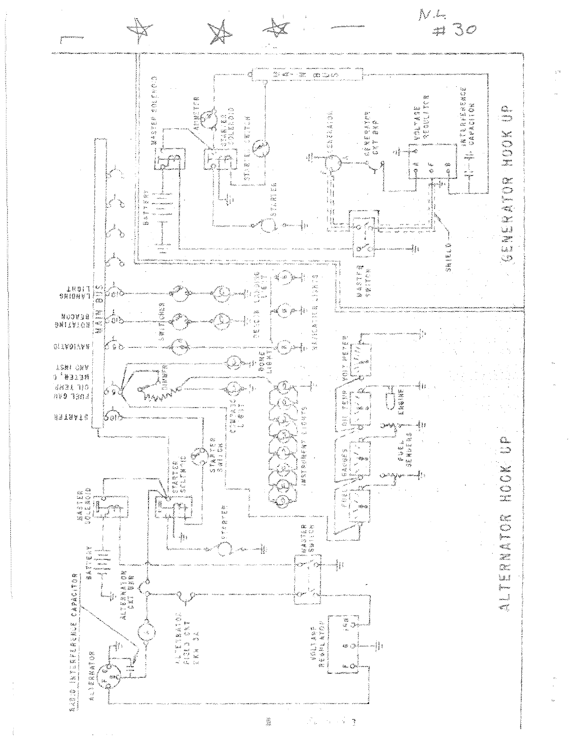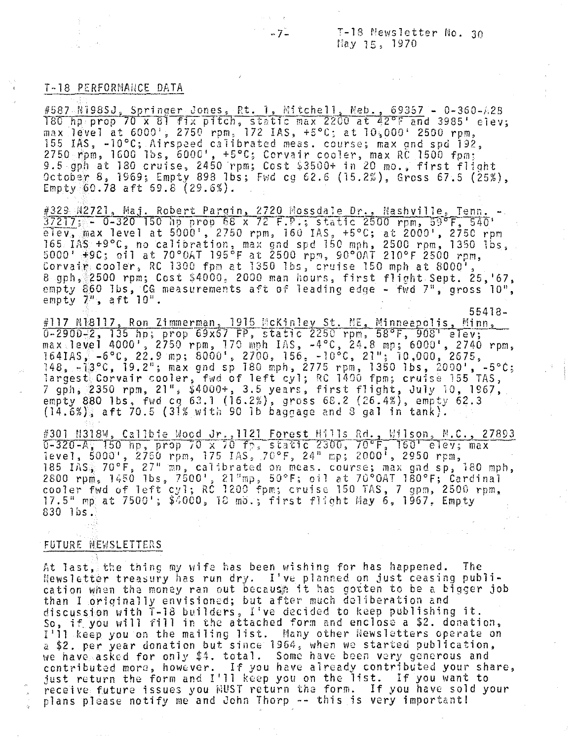$-7$  T-18 Newsletter No. 30 nay 15, 1970

55418-

## **T-18 PERFORMANCE DATA**

#587 N198SJ, Springer Jones, Rt. 1, Mitchell, Neb., 69357 - 0-360-A2B 180 hp prop 70 x 81 fix pitch, static max 2200 at 42°F and 3985' elev; max level at  $6000'$ , 2750 rpm, 172 IAS,  $+5^{\circ}$ C; at  $10,000'$  2500 rpm, 155 lAS, -10°C; Airspaed calibrated meas. course; max gnd spd 192, 2750 rpm, 1600 lbs, 6000', +5°C; Corvair cooler, max RC 1500 fpm; 1988 hpm; 1993 1993 essex 2450 rpm; Cost \$3500+ in 20 mo., first flight<br>9.5 gph at 180 cruise, 2450 rpm; Cost \$3500+ in 20 mo., first flight<br>October 8, 1969; Empty 898 lbs; Fwd cg 62.6 (15.2%), Gross 67.5 (25%), October 8, 1969; Empty 898 1bs; Fwd cg 62.6 (15.2%), Gross 67.5 (25%),<br>Empty 60.78 aft 69.8 (29.6%).

#329 N2721, Maj. Robert Pargin, 2720 Mossdale Dr., Nashville, Tenn.  $37217$ ; - 0-320 150 hp prop 68 x 72 F.P.; static 2500 rpm, 59°F, 540'  $\overline{e1e}$ v, max level at 5000', 2750 rpm, 160 IAS, +5°C; at 2000', 2750 rpm 165 lAS +9°0, no calibration, max gnd spd 150 mph. 2500 rpm, 1350 lbs, 5000' +9C; oil at 70°0AT 195°F at 2500 rpm, 90°0AT 210°F 2500 rpm,<br>Corvair cooler, RC 1300 fpm at 1350 lbs, cruise 150 mph at 8000', Corvair cooler, RC 1300 fpm at 1350 lbs, cruise 150 mph at 8000',<br>8 gph, 2500 rpm; Cost \$4000, 2000 man hours, first flight Sept. 25,'67, empty 860 lbs, CG measurements aft of leading edge - fwd 7", gross 10", empty  $7<sup>n</sup>$ , aft  $10<sup>n</sup>$ .

#117 N18117, Ron Zimmerman, 1915 McKinley St. NE, Minneapolis, Minn,  $0-2900-2$ , 135 hp; prop 69x67 FP, static 2250 rpm, 58°F, 908' elev; max level 4000', 2750 rpm, 170 mph IAS, -4°C, 24.8 mp; 6000', 2740 rpm, 164IAS, \_6°O, 22.9 mp; 8000', 2700, 156, -10 <sup>0</sup> e, 21"; 10,000,2675,  $148, -13°$ C, 19.2"; max gnd sp 180 mph, 2775 rpm, 1350 1bs, 2000', -5°C; largest Corvair cooler, fwd of left oyl; RC 1400 fpm; cruise 155 TAS, 7 gph, 2350 rpm, 21", \$4000+, 3.5 years, first flight, July 10, 1967, empty 880 lbs, fwd cg 63.1 (16.2%), gross 68.2 (26.4%), empty 62.3  $(14.6\%)$  aft 70.5 (31% with 90 lb baggage and 8 gal in tank).

#301 M318W, Cal1bie Wood Jr.,1121 Forest Hills Rd., Wilson, M.<mark>C., 2</mark>7893 0-320-A; 150 hp, prop 70 x 70 fp, static 2300, 70°F, 160' elev; max<br>1evel, 5000', 2750 rpm, 175 IAS, 70°F, 24" mp; 2000', 2950 rpm, 185 IAS, 70°F, 27" mp, calibrated on meas. course; max gnd sp, 180 mph,<br>2800 rpm, 1450 lbs, 7500', 21"mp, 50°F; oil at 70°OAT 180°F; Cardinal 2800 rpm, 1450 1bs, 7500', 21"mp, 50°F; cil at 70°0AT 180°F; Cardinal<br>cooler fwd of left cyl; RC 1200 fpm; cruise 150 TAS, 7 gpm, 2500 rpm,  $17.5$ " mp at  $7500'$ ;  $$4000$ ,  $18$  mb.; first flight May 6, 1967, Empty 830 lbs.

## FUTURE NEWSLETTERS

At last, the thing my wife has been wishing for has happened. The Hewsletter treasury has run dry. I've planned on just ceasing publication when the money ran out because it has gotten to be a bigger job than I originally envisioned; but after much deliberation and discussion with T-1S builders, I've decided to keep publishing it. So, if you will fill in the attached form and enclose a \$2. donation, I'll keep you on the mailing list. Many other Newsletters operate on a \$2. per year donation but since 1964, when we started publication, we have asked for only \$4. total. Some have been very generous and contributed more, however. If you have already contributed your share, just return the form and I'll keep you on the list. If you want to receive future issues you NUST return the form. If you have sold your plans please notify me and John Thorp -- this is very important!